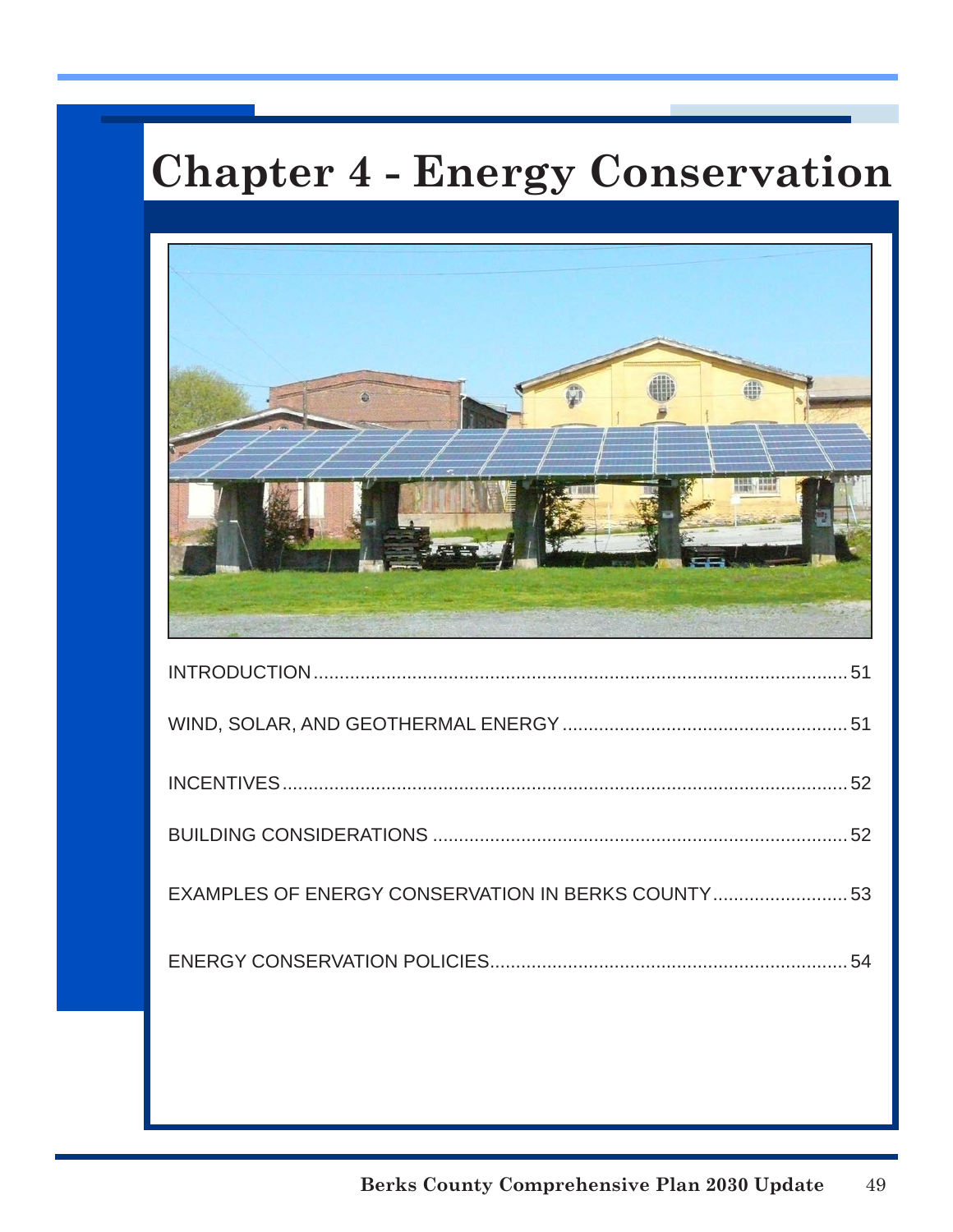# **Chapter 4 - Energy Conservation**

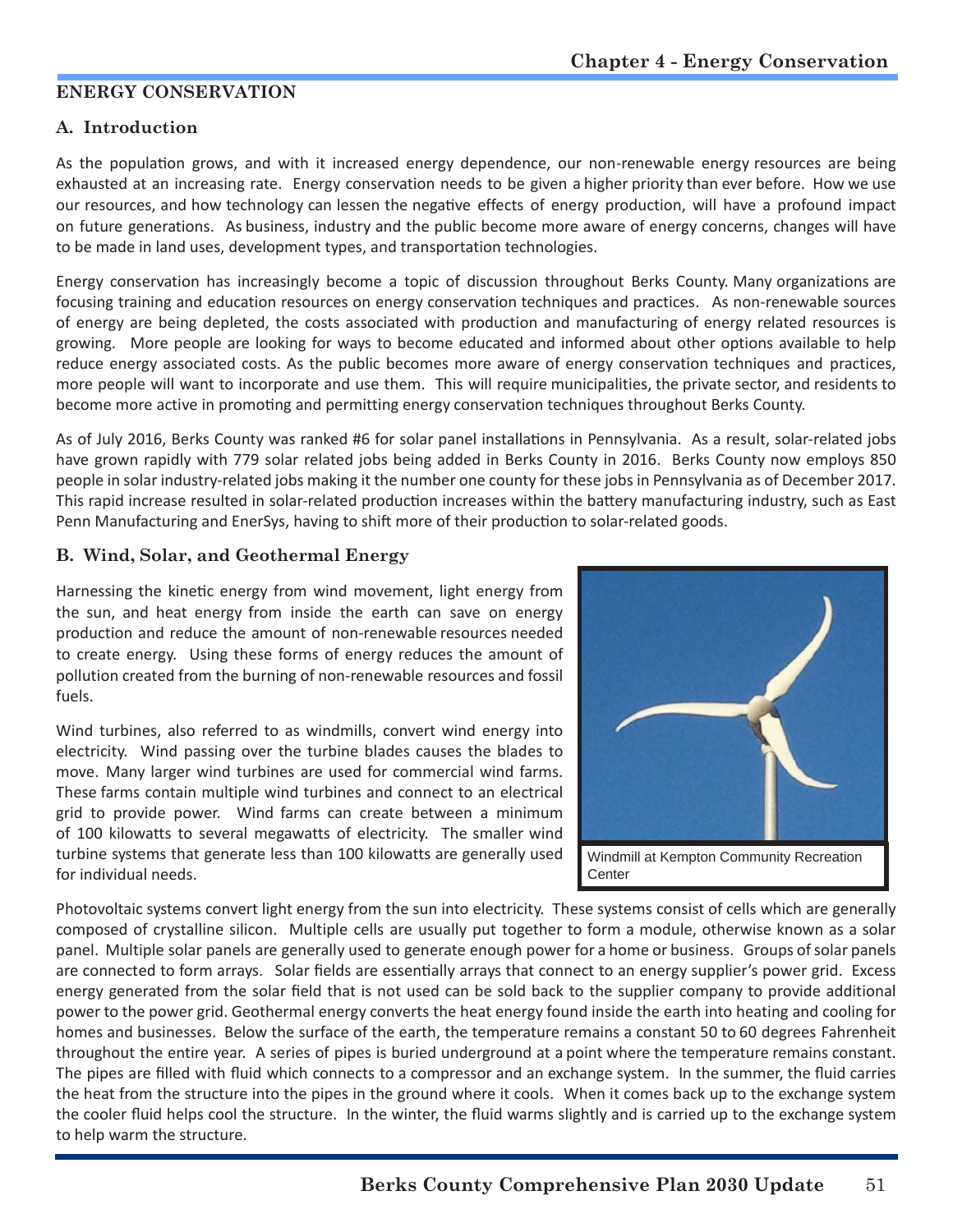## **ENERGY CONSERVATION**

## **A. Introduction**

As the population grows, and with it increased energy dependence, our non-renewable energy resources are being exhausted at an increasing rate. Energy conservation needs to be given a higher priority than ever before. How we use our resources, and how technology can lessen the negative effects of energy production, will have a profound impact on future generations. As business, industry and the public become more aware of energy concerns, changes will have to be made in land uses, development types, and transportation technologies.

Energy conservation has increasingly become a topic of discussion throughout Berks County. Many organizations are focusing training and education resources on energy conservation techniques and practices. As non-renewable sources of energy are being depleted, the costs associated with production and manufacturing of energy related resources is growing. More people are looking for ways to become educated and informed about other options available to help reduce energy associated costs. As the public becomes more aware of energy conservation techniques and practices, more people will want to incorporate and use them. This will require municipalities, the private sector, and residents to become more active in promoting and permitting energy conservation techniques throughout Berks County.

As of July 2016, Berks County was ranked #6 for solar panel installations in Pennsylvania. As a result, solar-related jobs have grown rapidly with 779 solar related jobs being added in Berks County in 2016. Berks County now employs 850 people in solar industry-related jobs making it the number one county for these jobs in Pennsylvania as of December 2017. This rapid increase resulted in solar-related production increases within the battery manufacturing industry, such as East Penn Manufacturing and EnerSys, having to shift more of their production to solar-related goods.

## **B. Wind, Solar, and Geothermal Energy**

Harnessing the kinetic energy from wind movement, light energy from the sun, and heat energy from inside the earth can save on energy production and reduce the amount of non-renewable resources needed to create energy. Using these forms of energy reduces the amount of pollution created from the burning of non-renewable resources and fossil fuels.

Wind turbines, also referred to as windmills, convert wind energy into electricity. Wind passing over the turbine blades causes the blades to move. Many larger wind turbines are used for commercial wind farms. These farms contain multiple wind turbines and connect to an electrical grid to provide power. Wind farms can create between a minimum of 100 kilowatts to several megawatts of electricity. The smaller wind turbine systems that generate less than 100 kilowatts are generally used for individual needs.



Photovoltaic systems convert light energy from the sun into electricity. These systems consist of cells which are generally composed of crystalline silicon. Multiple cells are usually put together to form a module, otherwise known as a solar panel. Multiple solar panels are generally used to generate enough power for a home or business. Groups of solar panels are connected to form arrays. Solar fields are essentially arrays that connect to an energy supplier's power grid. Excess energy generated from the solar field that is not used can be sold back to the supplier company to provide additional power to the power grid. Geothermal energy converts the heat energy found inside the earth into heating and cooling for homes and businesses. Below the surface of the earth, the temperature remains a constant 50 to 60 degrees Fahrenheit throughout the entire year. A series of pipes is buried underground at a point where the temperature remains constant. The pipes are filled with fluid which connects to a compressor and an exchange system. In the summer, the fluid carries the heat from the structure into the pipes in the ground where it cools. When it comes back up to the exchange system the cooler fluid helps cool the structure. In the winter, the fluid warms slightly and is carried up to the exchange system to help warm the structure.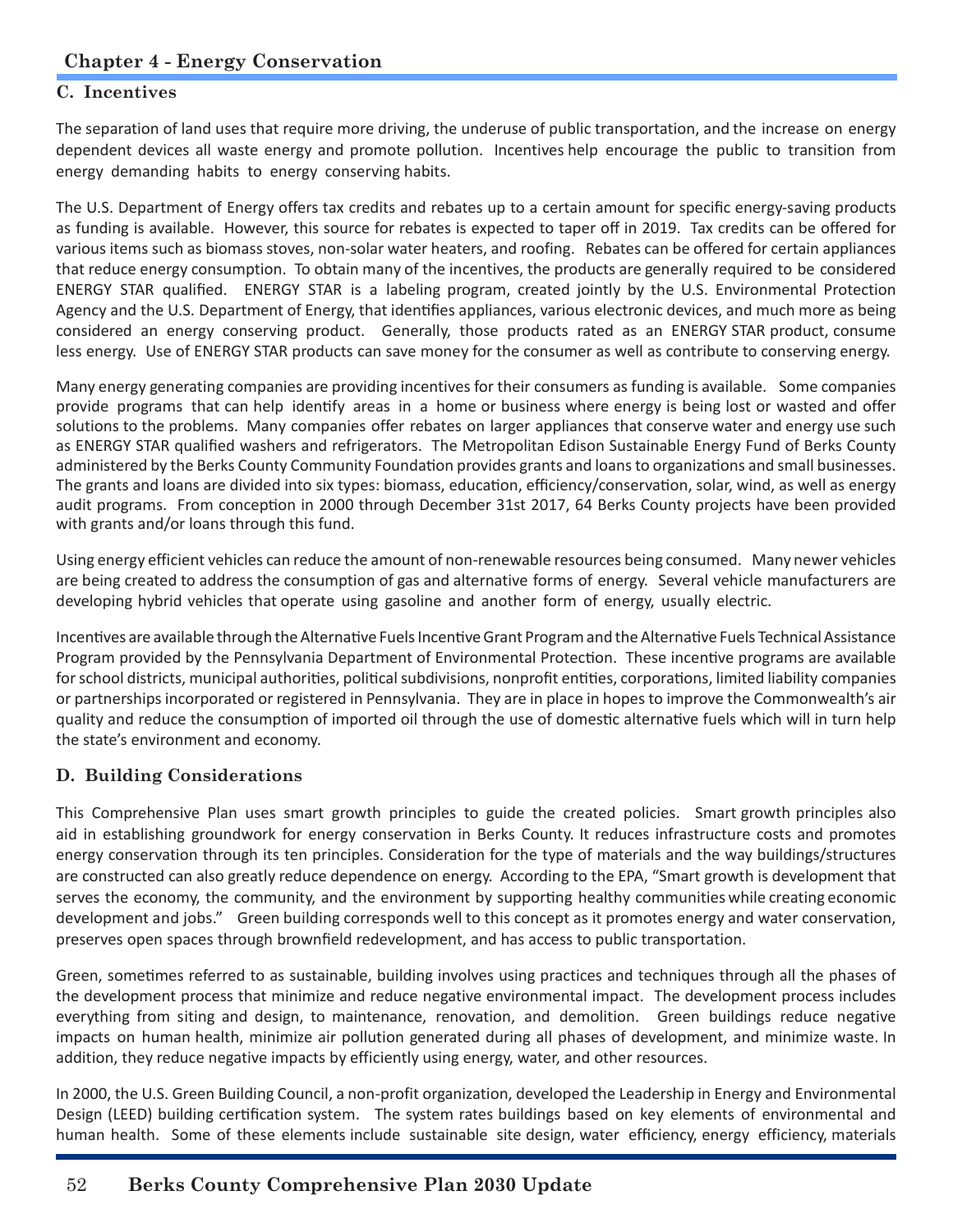## **C. Incentives**

The separation of land uses that require more driving, the underuse of public transportation, and the increase on energy dependent devices all waste energy and promote pollution. Incentives help encourage the public to transition from energy demanding habits to energy conserving habits.

The U.S. Department of Energy offers tax credits and rebates up to a certain amount for specific energy-saving products as funding is available. However, this source for rebates is expected to taper off in 2019. Tax credits can be offered for various items such as biomass stoves, non-solar water heaters, and roofing. Rebates can be offered for certain appliances that reduce energy consumption. To obtain many of the incentives, the products are generally required to be considered ENERGY STAR qualified. ENERGY STAR is a labeling program, created jointly by the U.S. Environmental Protection Agency and the U.S. Department of Energy, that identifies appliances, various electronic devices, and much more as being considered an energy conserving product. Generally, those products rated as an ENERGY STAR product, consume less energy. Use of ENERGY STAR products can save money for the consumer as well as contribute to conserving energy.

Many energy generating companies are providing incentives for their consumers as funding is available. Some companies provide programs that can help identify areas in a home or business where energy is being lost or wasted and offer solutions to the problems. Many companies offer rebates on larger appliances that conserve water and energy use such as ENERGY STAR qualified washers and refrigerators. The Metropolitan Edison Sustainable Energy Fund of Berks County administered by the Berks County Community Foundation provides grants and loans to organizations and small businesses. The grants and loans are divided into six types: biomass, education, efficiency/conservation, solar, wind, as well as energy audit programs. From conception in 2000 through December 31st 2017, 64 Berks County projects have been provided with grants and/or loans through this fund.

Using energy efficient vehicles can reduce the amount of non-renewable resources being consumed. Many newer vehicles are being created to address the consumption of gas and alternative forms of energy. Several vehicle manufacturers are developing hybrid vehicles that operate using gasoline and another form of energy, usually electric.

Incentives are available through the Alternative Fuels Incentive Grant Program and the Alternative Fuels Technical Assistance Program provided by the Pennsylvania Department of Environmental Protection. These incentive programs are available for school districts, municipal authorities, political subdivisions, nonprofit entities, corporations, limited liability companies or partnerships incorporated or registered in Pennsylvania. They are in place in hopes to improve the Commonwealth's air quality and reduce the consumption of imported oil through the use of domestic alternative fuels which will in turn help the state's environment and economy.

## **D. Building Considerations**

This Comprehensive Plan uses smart growth principles to guide the created policies. Smart growth principles also aid in establishing groundwork for energy conservation in Berks County. It reduces infrastructure costs and promotes energy conservation through its ten principles. Consideration for the type of materials and the way buildings/structures are constructed can also greatly reduce dependence on energy. According to the EPA, "Smart growth is development that serves the economy, the community, and the environment by supporting healthy communities while creating economic development and jobs." Green building corresponds well to this concept as it promotes energy and water conservation, preserves open spaces through brownfield redevelopment, and has access to public transportation.

Green, sometimes referred to as sustainable, building involves using practices and techniques through all the phases of the development process that minimize and reduce negative environmental impact. The development process includes everything from siting and design, to maintenance, renovation, and demolition. Green buildings reduce negative impacts on human health, minimize air pollution generated during all phases of development, and minimize waste. In addition, they reduce negative impacts by efficiently using energy, water, and other resources.

In 2000, the U.S. Green Building Council, a non-profit organization, developed the Leadership in Energy and Environmental Design (LEED) building certification system. The system rates buildings based on key elements of environmental and human health. Some of these elements include sustainable site design, water efficiency, energy efficiency, materials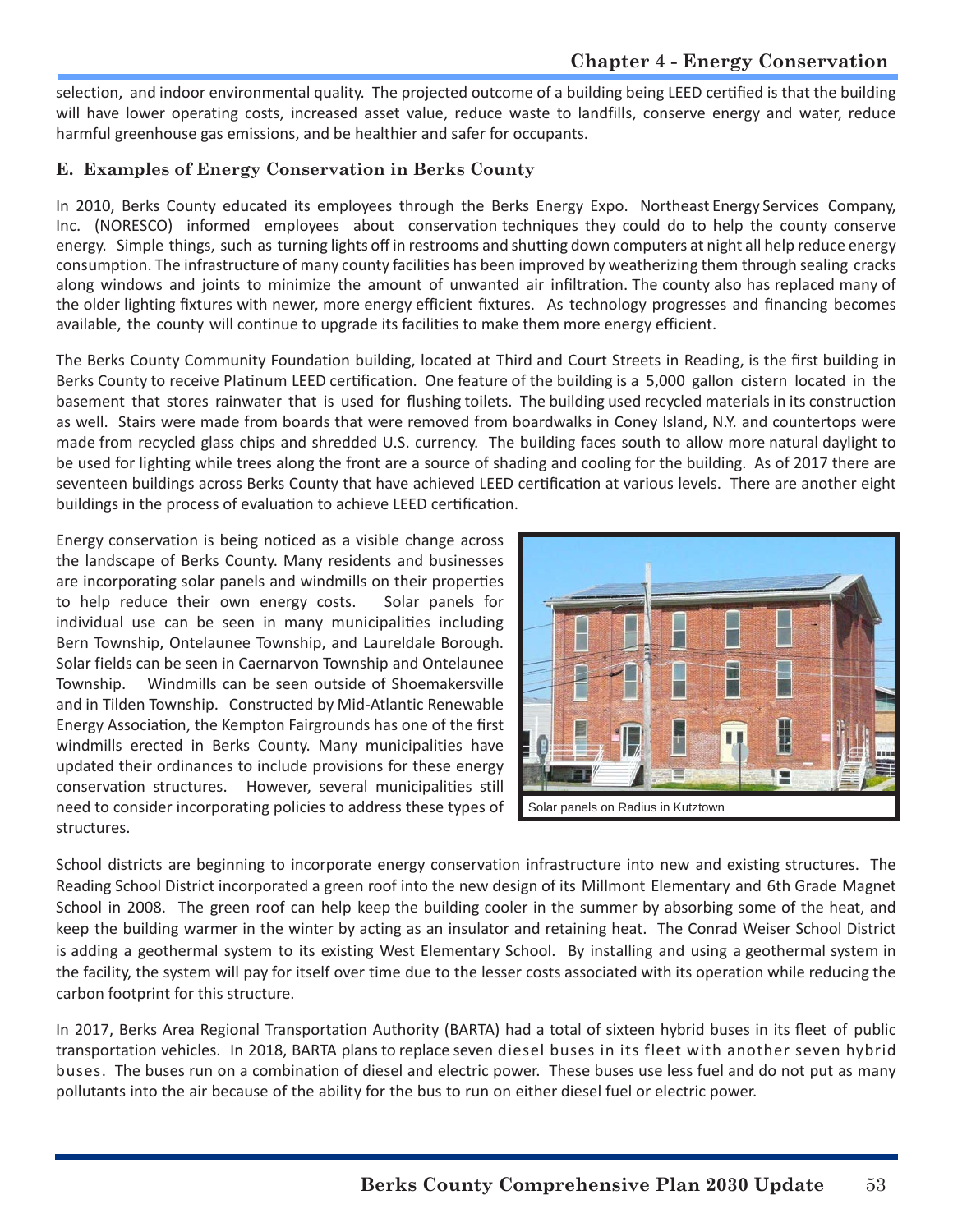selection, and indoor environmental quality. The projected outcome of a building being LEED certified is that the building will have lower operating costs, increased asset value, reduce waste to landfills, conserve energy and water, reduce harmful greenhouse gas emissions, and be healthier and safer for occupants.

## **E. Examples of Energy Conservation in Berks County**

In 2010, Berks County educated its employees through the Berks Energy Expo. Northeast Energy Services Company, Inc. (NORESCO) informed employees about conservation techniques they could do to help the county conserve energy. Simple things, such as turning lights off in restrooms and shutting down computers at night all help reduce energy consumption. The infrastructure of many county facilities has been improved by weatherizing them through sealing cracks along windows and joints to minimize the amount of unwanted air infiltration. The county also has replaced many of the older lighting fixtures with newer, more energy efficient fixtures. As technology progresses and financing becomes available, the county will continue to upgrade its facilities to make them more energy efficient.

The Berks County Community Foundation building, located at Third and Court Streets in Reading, is the first building in Berks County to receive Platinum LEED certification. One feature of the building is a 5,000 gallon cistern located in the basement that stores rainwater that is used for flushing toilets. The building used recycled materials in its construction as well. Stairs were made from boards that were removed from boardwalks in Coney Island, N.Y. and countertops were made from recycled glass chips and shredded U.S. currency. The building faces south to allow more natural daylight to be used for lighting while trees along the front are a source of shading and cooling for the building. As of 2017 there are seventeen buildings across Berks County that have achieved LEED certification at various levels. There are another eight buildings in the process of evaluation to achieve LEED certification.

Energy conservation is being noticed as a visible change across the landscape of Berks County. Many residents and businesses are incorporating solar panels and windmills on their properties to help reduce their own energy costs. Solar panels for individual use can be seen in many municipalities including Bern Township, Ontelaunee Township, and Laureldale Borough. Solar fields can be seen in Caernarvon Township and Ontelaunee Township. Windmills can be seen outside of Shoemakersville and in Tilden Township. Constructed by Mid-Atlantic Renewable Energy Association, the Kempton Fairgrounds has one of the first windmills erected in Berks County. Many municipalities have updated their ordinances to include provisions for these energy conservation structures. However, several municipalities still need to consider incorporating policies to address these types of structures.



School districts are beginning to incorporate energy conservation infrastructure into new and existing structures. The Reading School District incorporated a green roof into the new design of its Millmont Elementary and 6th Grade Magnet School in 2008. The green roof can help keep the building cooler in the summer by absorbing some of the heat, and keep the building warmer in the winter by acting as an insulator and retaining heat. The Conrad Weiser School District is adding a geothermal system to its existing West Elementary School. By installing and using a geothermal system in the facility, the system will pay for itself over time due to the lesser costs associated with its operation while reducing the carbon footprint for this structure.

In 2017, Berks Area Regional Transportation Authority (BARTA) had a total of sixteen hybrid buses in its fleet of public transportation vehicles. In 2018, BARTA plans to replace seven diesel buses in its fleet with another seven hybrid buses. The buses run on a combination of diesel and electric power. These buses use less fuel and do not put as many pollutants into the air because of the ability for the bus to run on either diesel fuel or electric power.